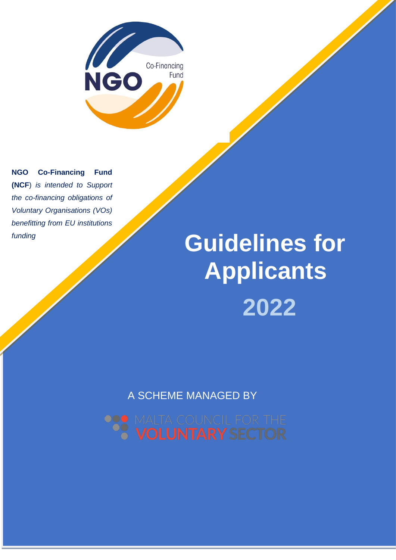

**NGO Co-Financing Fund (NCF**) *is intended to Support the co-financing obligations of Voluntary Organisations (VOs) benefitting from EU institutions funding*

# **Managed by the Malta Council for the Voluntary Sector Applicants Guidelines for 2022**

A SCHEME MANAGED BY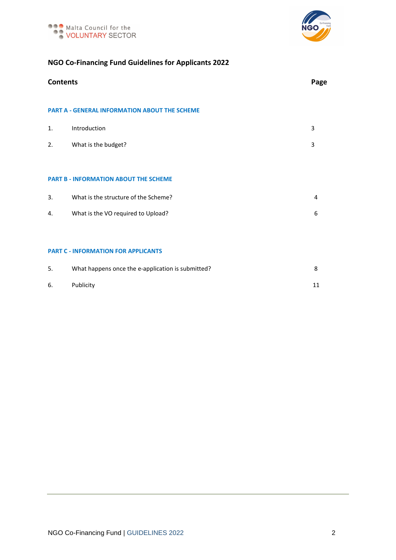



# **NGO Co-Financing Fund Guidelines for Applicants 2022**

|                                                      | <b>Contents</b>                                   |   |  |
|------------------------------------------------------|---------------------------------------------------|---|--|
| <b>PART A - GENERAL INFORMATION ABOUT THE SCHEME</b> |                                                   |   |  |
| $\mathbf{1}$ .                                       | Introduction                                      | 3 |  |
| 2.                                                   | What is the budget?                               | 3 |  |
|                                                      |                                                   |   |  |
| <b>PART B - INFORMATION ABOUT THE SCHEME</b>         |                                                   |   |  |
| 3.                                                   | What is the structure of the Scheme?              | 4 |  |
| 4.                                                   | What is the VO required to Upload?                | 6 |  |
|                                                      |                                                   |   |  |
|                                                      | <b>PART C - INFORMATION FOR APPLICANTS</b>        |   |  |
| 5.                                                   | What happens once the e-application is submitted? | 8 |  |

| 6. Publicity | 11 |
|--------------|----|
|              |    |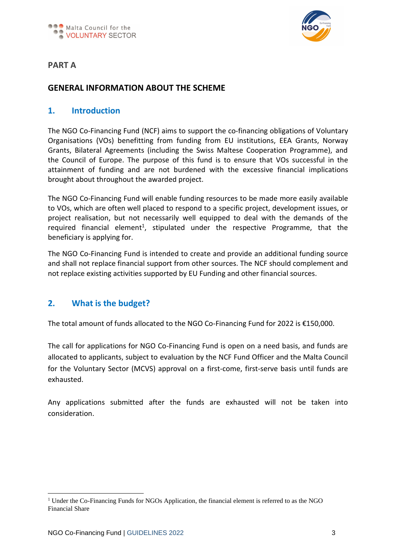

# **PART A**

# **GENERAL INFORMATION ABOUT THE SCHEME**

## **1. Introduction**

The NGO Co-Financing Fund (NCF) aims to support the co-financing obligations of Voluntary Organisations (VOs) benefitting from funding from EU institutions, EEA Grants, Norway Grants, Bilateral Agreements (including the Swiss Maltese Cooperation Programme), and the Council of Europe. The purpose of this fund is to ensure that VOs successful in the attainment of funding and are not burdened with the excessive financial implications brought about throughout the awarded project.

The NGO Co-Financing Fund will enable funding resources to be made more easily available to VOs, which are often well placed to respond to a specific project, development issues, or project realisation, but not necessarily well equipped to deal with the demands of the required financial element<sup>1</sup>, stipulated under the respective Programme, that the beneficiary is applying for.

The NGO Co-Financing Fund is intended to create and provide an additional funding source and shall not replace financial support from other sources. The NCF should complement and not replace existing activities supported by EU Funding and other financial sources.

# **2. What is the budget?**

The total amount of funds allocated to the NGO Co-Financing Fund for 2022 is €150,000.

The call for applications for NGO Co-Financing Fund is open on a need basis, and funds are allocated to applicants, subject to evaluation by the NCF Fund Officer and the Malta Council for the Voluntary Sector (MCVS) approval on a first-come, first-serve basis until funds are exhausted.

Any applications submitted after the funds are exhausted will not be taken into consideration.

<sup>&</sup>lt;sup>1</sup> Under the Co-Financing Funds for NGOs Application, the financial element is referred to as the NGO Financial Share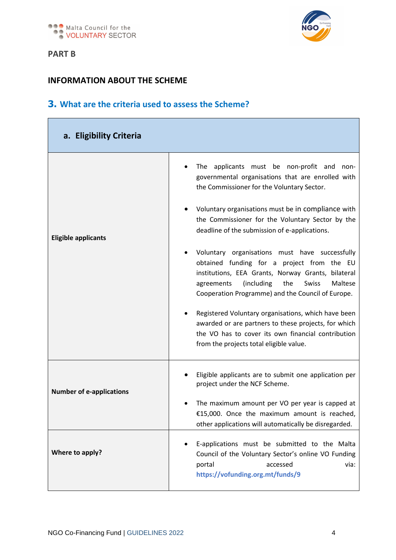



# **INFORMATION ABOUT THE SCHEME**

# **3. What are the criteria used to assess the Scheme?**

| a. Eligibility Criteria         |                                                                                                                                                                                                                                                                |
|---------------------------------|----------------------------------------------------------------------------------------------------------------------------------------------------------------------------------------------------------------------------------------------------------------|
|                                 | The applicants must be non-profit and<br>non-<br>governmental organisations that are enrolled with<br>the Commissioner for the Voluntary Sector.                                                                                                               |
| <b>Eligible applicants</b>      | Voluntary organisations must be in compliance with<br>the Commissioner for the Voluntary Sector by the<br>deadline of the submission of e-applications.                                                                                                        |
|                                 | Voluntary organisations must have successfully<br>obtained funding for a project from the EU<br>institutions, EEA Grants, Norway Grants, bilateral<br>(including<br>the<br>Swiss<br>Maltese<br>agreements<br>Cooperation Programme) and the Council of Europe. |
|                                 | Registered Voluntary organisations, which have been<br>awarded or are partners to these projects, for which<br>the VO has to cover its own financial contribution<br>from the projects total eligible value.                                                   |
| <b>Number of e-applications</b> | Eligible applicants are to submit one application per<br>project under the NCF Scheme.                                                                                                                                                                         |
|                                 | The maximum amount per VO per year is capped at<br>€15,000. Once the maximum amount is reached,<br>other applications will automatically be disregarded.                                                                                                       |
| Where to apply?                 | E-applications must be submitted to the Malta<br>Council of the Voluntary Sector's online VO Funding<br>portal<br>accessed<br>via:<br>https://vofunding.org.mt/funds/9                                                                                         |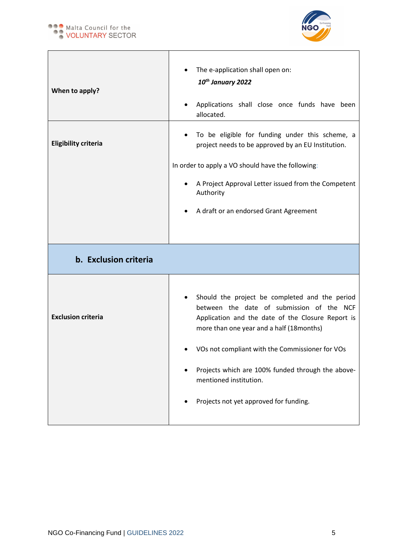

| When to apply?              | The e-application shall open on:<br>10 <sup>th</sup> January 2022<br>Applications shall close once funds have been<br>allocated.                                                                                                                                                                                               |
|-----------------------------|--------------------------------------------------------------------------------------------------------------------------------------------------------------------------------------------------------------------------------------------------------------------------------------------------------------------------------|
| <b>Eligibility criteria</b> | To be eligible for funding under this scheme, a<br>project needs to be approved by an EU Institution.<br>In order to apply a VO should have the following:                                                                                                                                                                     |
|                             | A Project Approval Letter issued from the Competent<br>Authority<br>A draft or an endorsed Grant Agreement                                                                                                                                                                                                                     |
| b. Exclusion criteria       |                                                                                                                                                                                                                                                                                                                                |
| <b>Exclusion criteria</b>   | Should the project be completed and the period<br>between the date of submission of the NCF<br>Application and the date of the Closure Report is<br>more than one year and a half (18months)<br>VOs not compliant with the Commissioner for VOs<br>Projects which are 100% funded through the above-<br>mentioned institution. |
|                             | Projects not yet approved for funding.                                                                                                                                                                                                                                                                                         |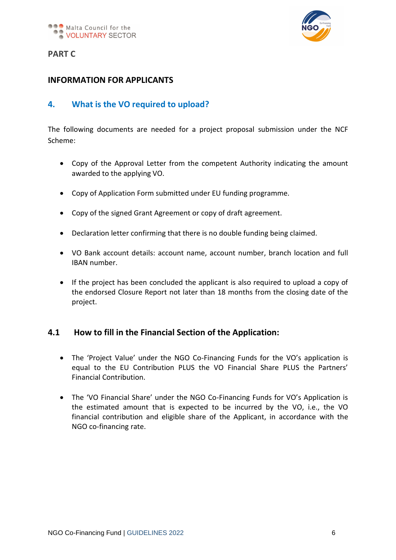

# **PART C**

# **INFORMATION FOR APPLICANTS**

# **4. What is the VO required to upload?**

The following documents are needed for a project proposal submission under the NCF Scheme:

- Copy of the Approval Letter from the competent Authority indicating the amount awarded to the applying VO.
- Copy of Application Form submitted under EU funding programme.
- Copy of the signed Grant Agreement or copy of draft agreement.
- Declaration letter confirming that there is no double funding being claimed.
- VO Bank account details: account name, account number, branch location and full IBAN number.
- If the project has been concluded the applicant is also required to upload a copy of the endorsed Closure Report not later than 18 months from the closing date of the project.

# **4.1 How to fill in the Financial Section of the Application:**

- The 'Project Value' under the NGO Co-Financing Funds for the VO's application is equal to the EU Contribution PLUS the VO Financial Share PLUS the Partners' Financial Contribution.
- The 'VO Financial Share' under the NGO Co-Financing Funds for VO's Application is the estimated amount that is expected to be incurred by the VO, i.e., the VO financial contribution and eligible share of the Applicant, in accordance with the NGO co-financing rate.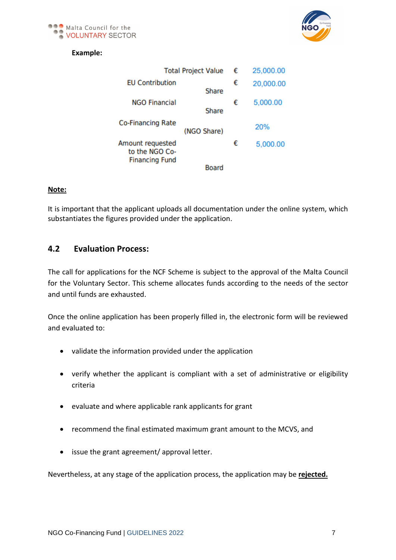



## **Example:**

| <b>Total Project Value</b>                                  |              | € | 25,000.00 |
|-------------------------------------------------------------|--------------|---|-----------|
| <b>EU Contribution</b>                                      | <b>Share</b> | € | 20,000.00 |
| <b>NGO Financial</b>                                        | Share        | € | 5,000.00  |
| <b>Co-Financing Rate</b>                                    | (NGO Share)  |   | 20%       |
| Amount requested<br>to the NGO Co-<br><b>Financing Fund</b> |              | € | 5,000.00  |
|                                                             | <b>Board</b> |   |           |

#### **Note:**

It is important that the applicant uploads all documentation under the online system, which substantiates the figures provided under the application.

## **4.2 Evaluation Process:**

The call for applications for the NCF Scheme is subject to the approval of the Malta Council for the Voluntary Sector. This scheme allocates funds according to the needs of the sector and until funds are exhausted.

Once the online application has been properly filled in, the electronic form will be reviewed and evaluated to:

- validate the information provided under the application
- verify whether the applicant is compliant with a set of administrative or eligibility criteria
- evaluate and where applicable rank applicants for grant
- recommend the final estimated maximum grant amount to the MCVS, and
- issue the grant agreement/ approval letter.

Nevertheless, at any stage of the application process, the application may be **rejected.**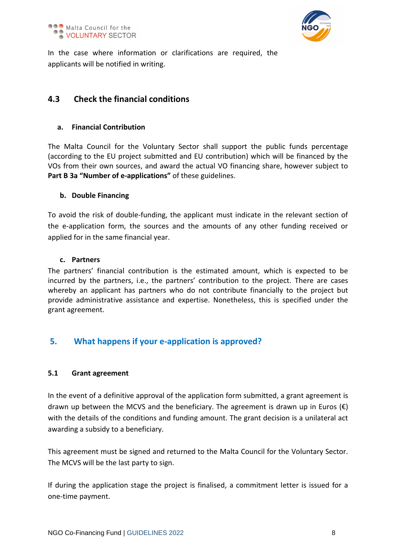

In the case where information or clarifications are required, the applicants will be notified in writing.

# **4.3 Check the financial conditions**

#### **a. Financial Contribution**

The Malta Council for the Voluntary Sector shall support the public funds percentage (according to the EU project submitted and EU contribution) which will be financed by the VOs from their own sources, and award the actual VO financing share, however subject to **Part B 3a "Number of e-applications"** of these guidelines.

#### **b. Double Financing**

To avoid the risk of double-funding, the applicant must indicate in the relevant section of the e-application form, the sources and the amounts of any other funding received or applied for in the same financial year.

#### **c. Partners**

The partners' financial contribution is the estimated amount, which is expected to be incurred by the partners, i.e., the partners' contribution to the project. There are cases whereby an applicant has partners who do not contribute financially to the project but provide administrative assistance and expertise. Nonetheless, this is specified under the grant agreement.

# **5. What happens if your e-application is approved?**

## **5.1 Grant agreement**

In the event of a definitive approval of the application form submitted, a grant agreement is drawn up between the MCVS and the beneficiary. The agreement is drawn up in Euros  $(\epsilon)$ with the details of the conditions and funding amount. The grant decision is a unilateral act awarding a subsidy to a beneficiary.

This agreement must be signed and returned to the Malta Council for the Voluntary Sector. The MCVS will be the last party to sign.

If during the application stage the project is finalised, a commitment letter is issued for a one-time payment.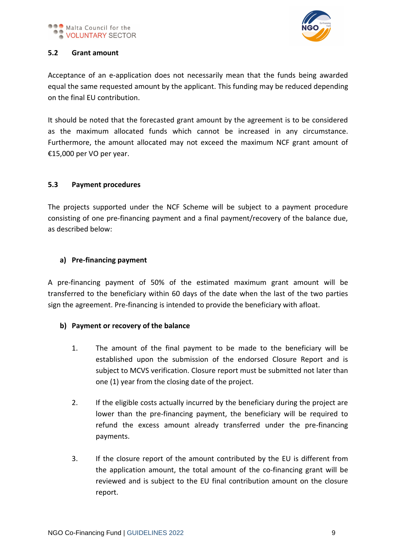

## **5.2 Grant amount**

Acceptance of an e-application does not necessarily mean that the funds being awarded equal the same requested amount by the applicant. This funding may be reduced depending on the final EU contribution.

It should be noted that the forecasted grant amount by the agreement is to be considered as the maximum allocated funds which cannot be increased in any circumstance. Furthermore, the amount allocated may not exceed the maximum NCF grant amount of €15,000 per VO per year.

## **5.3 Payment procedures**

The projects supported under the NCF Scheme will be subject to a payment procedure consisting of one pre-financing payment and a final payment/recovery of the balance due, as described below:

## **a) Pre-financing payment**

A pre-financing payment of 50% of the estimated maximum grant amount will be transferred to the beneficiary within 60 days of the date when the last of the two parties sign the agreement. Pre-financing is intended to provide the beneficiary with afloat.

## **b) Payment or recovery of the balance**

- 1. The amount of the final payment to be made to the beneficiary will be established upon the submission of the endorsed Closure Report and is subject to MCVS verification. Closure report must be submitted not later than one (1) year from the closing date of the project.
- 2. If the eligible costs actually incurred by the beneficiary during the project are lower than the pre-financing payment, the beneficiary will be required to refund the excess amount already transferred under the pre-financing payments.
- 3. If the closure report of the amount contributed by the EU is different from the application amount, the total amount of the co-financing grant will be reviewed and is subject to the EU final contribution amount on the closure report.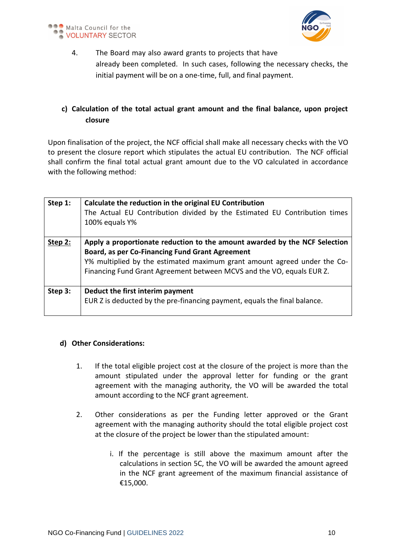



4. The Board may also award grants to projects that have already been completed. In such cases, following the necessary checks, the initial payment will be on a one-time, full, and final payment.

# **c) Calculation of the total actual grant amount and the final balance, upon project closure**

Upon finalisation of the project, the NCF official shall make all necessary checks with the VO to present the closure report which stipulates the actual EU contribution. The NCF official shall confirm the final total actual grant amount due to the VO calculated in accordance with the following method:

| Step 1: | Calculate the reduction in the original EU Contribution<br>The Actual EU Contribution divided by the Estimated EU Contribution times<br>100% equals Y%                                                                                                                                    |
|---------|-------------------------------------------------------------------------------------------------------------------------------------------------------------------------------------------------------------------------------------------------------------------------------------------|
| Step 2: | Apply a proportionate reduction to the amount awarded by the NCF Selection<br><b>Board, as per Co-Financing Fund Grant Agreement</b><br>Y% multiplied by the estimated maximum grant amount agreed under the Co-<br>Financing Fund Grant Agreement between MCVS and the VO, equals EUR Z. |
| Step 3: | Deduct the first interim payment<br>EUR Z is deducted by the pre-financing payment, equals the final balance.                                                                                                                                                                             |

#### **d) Other Considerations:**

- 1. If the total eligible project cost at the closure of the project is more than the amount stipulated under the approval letter for funding or the grant agreement with the managing authority, the VO will be awarded the total amount according to the NCF grant agreement.
- 2. Other considerations as per the Funding letter approved or the Grant agreement with the managing authority should the total eligible project cost at the closure of the project be lower than the stipulated amount:
	- i. If the percentage is still above the maximum amount after the calculations in section 5C, the VO will be awarded the amount agreed in the NCF grant agreement of the maximum financial assistance of €15,000.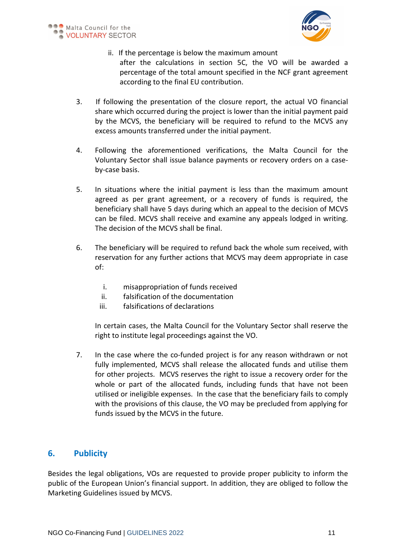

- ii. If the percentage is below the maximum amount after the calculations in section 5C, the VO will be awarded a percentage of the total amount specified in the NCF grant agreement according to the final EU contribution.
- 3. If following the presentation of the closure report, the actual VO financial share which occurred during the project is lower than the initial payment paid by the MCVS, the beneficiary will be required to refund to the MCVS any excess amounts transferred under the initial payment.
- 4. Following the aforementioned verifications, the Malta Council for the Voluntary Sector shall issue balance payments or recovery orders on a caseby-case basis.
- 5. In situations where the initial payment is less than the maximum amount agreed as per grant agreement, or a recovery of funds is required, the beneficiary shall have 5 days during which an appeal to the decision of MCVS can be filed. MCVS shall receive and examine any appeals lodged in writing. The decision of the MCVS shall be final.
- 6. The beneficiary will be required to refund back the whole sum received, with reservation for any further actions that MCVS may deem appropriate in case of:
	- i. misappropriation of funds received
	- ii. falsification of the documentation
	- iii. falsifications of declarations

In certain cases, the Malta Council for the Voluntary Sector shall reserve the right to institute legal proceedings against the VO.

7. In the case where the co-funded project is for any reason withdrawn or not fully implemented, MCVS shall release the allocated funds and utilise them for other projects. MCVS reserves the right to issue a recovery order for the whole or part of the allocated funds, including funds that have not been utilised or ineligible expenses. In the case that the beneficiary fails to comply with the provisions of this clause, the VO may be precluded from applying for funds issued by the MCVS in the future.

# **6. Publicity**

Besides the legal obligations, VOs are requested to provide proper publicity to inform the public of the European Union's financial support. In addition, they are obliged to follow the Marketing Guidelines issued by MCVS.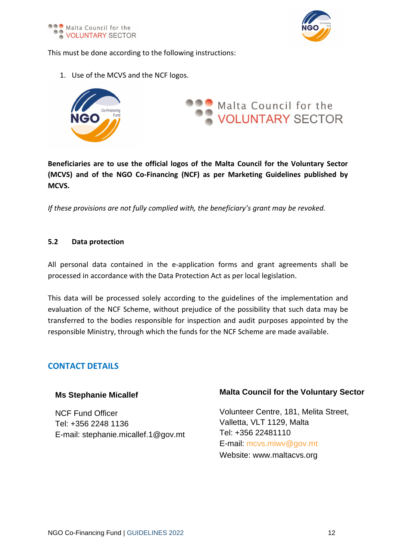

This must be done according to the following instructions:

1. Use of the MCVS and the NCF logos.



**Beneficiaries are to use the official logos of the Malta Council for the Voluntary Sector (MCVS) and of the NGO Co-Financing (NCF) as per Marketing Guidelines published by MCVS.**

*If these provisions are not fully complied with, the beneficiary's grant may be revoked.* 

#### **5.2 Data protection**

All personal data contained in the e-application forms and grant agreements shall be processed in accordance with the Data Protection Act as per local legislation.

This data will be processed solely according to the guidelines of the implementation and evaluation of the NCF Scheme, without prejudice of the possibility that such data may be transferred to the bodies responsible for inspection and audit purposes appointed by the responsible Ministry, through which the funds for the NCF Scheme are made available.

# **CONTACT DETAILS**

## **Ms Stephanie Micallef**

NCF Fund Officer Tel: +356 2248 1136 E-mail: stephanie.micallef.1@gov.mt

# **Malta Council for the Voluntary Sector**

Volunteer Centre, 181, Melita Street, Valletta, VLT 1129, Malta Tel: +356 22481110 E-mail: [mcvs.miwv@gov.mt](mailto:mcvs.miwv@gov.mt) Website: [www.maltacvs.org](http://www.maltacvs.org/)